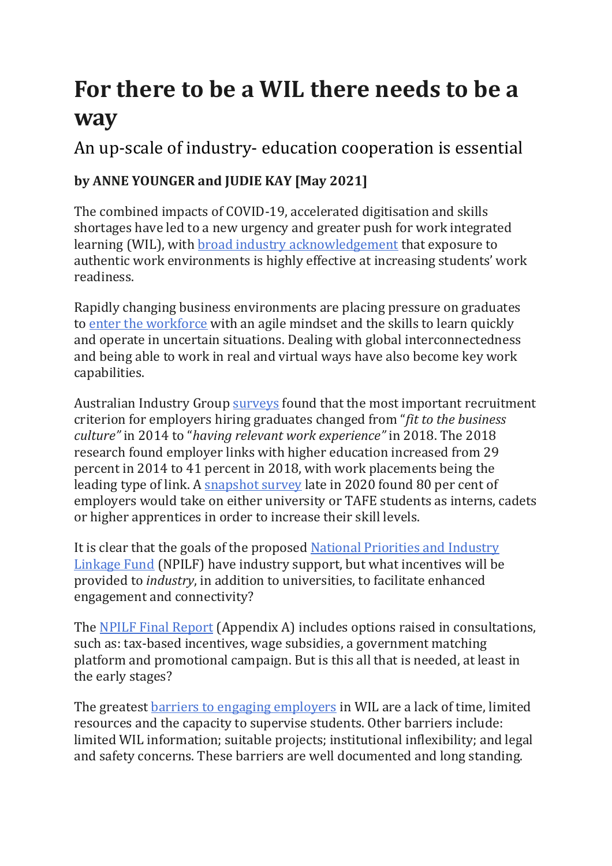## **For there to be a WIL there needs to be a way**

An up-scale of industry- education cooperation is essential

## **by ANNE YOUNGER and JUDIE KAY [May 2021]**

The combined impacts of COVID-19, accelerated digitisation and skills shortages have led to a new urgency and greater push for work integrated learning (WIL), with [broad industry acknowledgement](http://cdn1.acen.edu.au/wp-content/uploads/2015/03/National-WIL-Strategy-in-university-education-032015.pdf) that exposure to authentic work environments is highly effective at increasing students' work readiness.

Rapidly changing business environments are placing pressure on graduates to [enter the workforce](https://www.swinburne.edu.au/downloads/cnew-national-survey-report.pdf) with an agile mindset and the skills to learn quickly and operate in uncertain situations. Dealing with global interconnectedness and being able to work in real and virtual ways have also become key work capabilities.

Australian Industry Group [surveys](https://cdn.aigroup.com.au/Reports/2018/Survey_Report_WFDNeeds_Skilling_Sept2018.pdf) found that the most important recruitment criterion for employers hiring graduates changed from "*fit to the business culture"* in 2014 to "*having relevant work experience"* in 2018. The 2018 research found employer links with higher education increased from 29 percent in 2014 to 41 percent in 2018, with work placements being the leading type of link. A [snapshot survey](https://cdn.aigroup.com.au/Reports/2021/CET_skills_urgency_report_apr2021.pdf) late in 2020 found 80 per cent of employers would take on either university or TAFE students as interns, cadets or higher apprentices in order to increase their skill levels.

It is clear that the goals of the proposed [National Priorities and Industry](https://www.dese.gov.au/job-ready/npilf)  [Linkage Fund](https://www.dese.gov.au/job-ready/npilf) (NPILF) have industry support, but what incentives will be provided to *industry*, in addition to universities, to facilitate enhanced engagement and connectivity?

The [NPILF Final Report](https://www.dese.gov.au/job-ready/resources/npilf-final-report) (Appendix A) includes options raised in consultations, such as: tax-based incentives, wage subsidies, a government matching platform and promotional campaign. But is this all that is needed, at least in the early stages?

The greatest [barriers to engaging employers](https://www.ncver.edu.au/__data/assets/pdf_file/0017/60281/Work-based-learning.pdf) in WIL are a lack of time, limited resources and the capacity to supervise students. Other barriers include: limited WIL information; suitable projects; institutional inflexibility; and legal and safety concerns. These barriers are well documented and long standing.